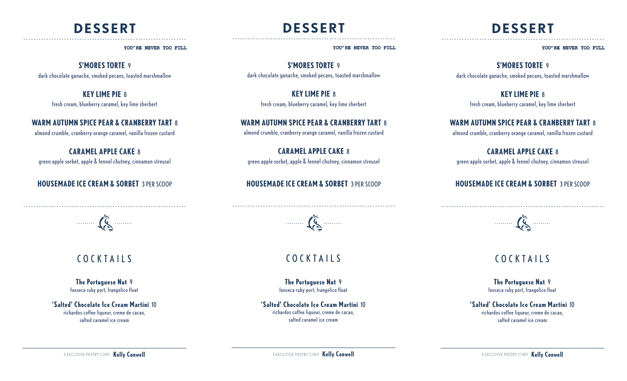## **DESSERT** ----------------------------------------------------------------

#### YOU'RE NEVER TOO FULL

## **S'MORES TORTE** 9

dark chocolate ganache, smoked pecans, toasted marshmallow

### **KEY LIME PIE** 8

fresh cream, blueberry caramel, key lime sherbert

## **WARM AUTUMN SPICE PEAR & CRANBERRY TART** 8

almond crumble, cranberry orange caramel, vanilla frozen custard

## **CARAMEL APPLE CAKE** 8

green apple sorbet, apple & fennel chutney, cinnamon streusel

## **HOUSEMADE ICE CREAM & SORBET** 3 PER SCOOP



----------------------------------------------------------------

# COCKTAILS

#### **The Portuguese Nut** 9

fonseca ruby port, frangelico float

### **'Salted' Chocolate Ice Cream Martini** 10

richardos coffee liqueur, creme de cacao, salted caramel ice cream